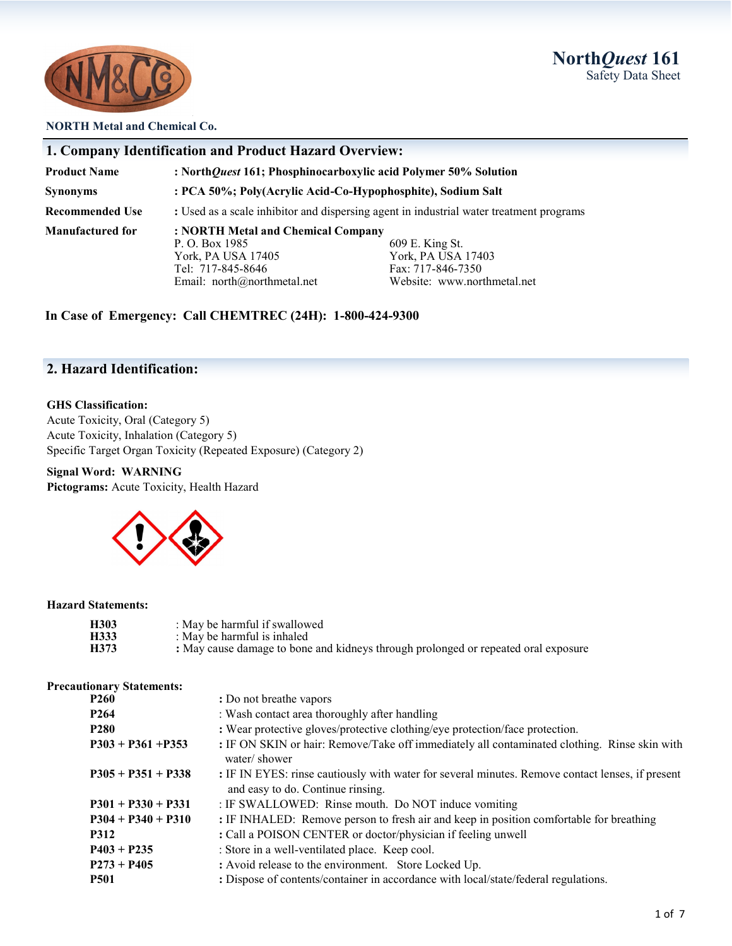# **North***Quest* **161** Safety Data Sheet



#### **NORTH Metal and Chemical Co.**

| <b>1. Company Identification and Product Hazard Overview:</b> |                                                                                         |                             |  |
|---------------------------------------------------------------|-----------------------------------------------------------------------------------------|-----------------------------|--|
| <b>Product Name</b>                                           | : NorthQuest 161; Phosphinocarboxylic acid Polymer 50% Solution                         |                             |  |
| <b>Synonyms</b>                                               | : PCA 50%; Poly(Acrylic Acid-Co-Hypophosphite), Sodium Salt                             |                             |  |
| <b>Recommended Use</b>                                        | : Used as a scale inhibitor and dispersing agent in industrial water treatment programs |                             |  |
| <b>Manufactured for</b><br>: NORTH Metal and Chemical Company |                                                                                         |                             |  |
|                                                               | P. O. Box 1985                                                                          | 609 E. King St.             |  |
|                                                               | York, PA USA 17405                                                                      | York, PA USA 17403          |  |
|                                                               | Tel: 717-845-8646                                                                       | Fax: 717-846-7350           |  |
|                                                               | Email: north@northmetal.net                                                             | Website: www.northmetal.net |  |

**In Case of Emergency: Call CHEMTREC (24H): 1-800-424-9300**

# **2. Hazard Identification:**

#### **GHS Classification:**

Acute Toxicity, Oral (Category 5) Acute Toxicity, Inhalation (Category 5) Specific Target Organ Toxicity (Repeated Exposure) (Category 2)

**Signal Word: WARNING Pictograms:** Acute Toxicity, Health Hazard



#### **Hazard Statements:**

| H303 | : May be harmful if swallowed                                                      |
|------|------------------------------------------------------------------------------------|
| H333 | : May be harmful is inhaled                                                        |
| H373 | : May cause damage to bone and kidneys through prolonged or repeated oral exposure |

#### **Precautionary Statements:**

| <b>P260</b>          | : Do not breathe vapors                                                                                                               |
|----------------------|---------------------------------------------------------------------------------------------------------------------------------------|
| P <sub>264</sub>     | : Wash contact area thoroughly after handling                                                                                         |
| <b>P280</b>          | : Wear protective gloves/protective clothing/eye protection/face protection.                                                          |
| $P303 + P361 + P353$ | : IF ON SKIN or hair: Remove/Take off immediately all contaminated clothing. Rinse skin with<br>water/shower                          |
| $P305 + P351 + P338$ | : IF IN EYES: rinse cautiously with water for several minutes. Remove contact lenses, if present<br>and easy to do. Continue rinsing. |
| $P301 + P330 + P331$ | : IF SWALLOWED: Rinse mouth. Do NOT induce vomiting                                                                                   |
| $P304 + P340 + P310$ | : IF INHALED: Remove person to fresh air and keep in position comfortable for breathing                                               |
| <b>P312</b>          | : Call a POISON CENTER or doctor/physician if feeling unwell                                                                          |
| $P403 + P235$        | : Store in a well-ventilated place. Keep cool.                                                                                        |
| $P273 + P405$        | : Avoid release to the environment. Store Locked Up.                                                                                  |
| <b>P501</b>          | : Dispose of contents/container in accordance with local/state/federal regulations.                                                   |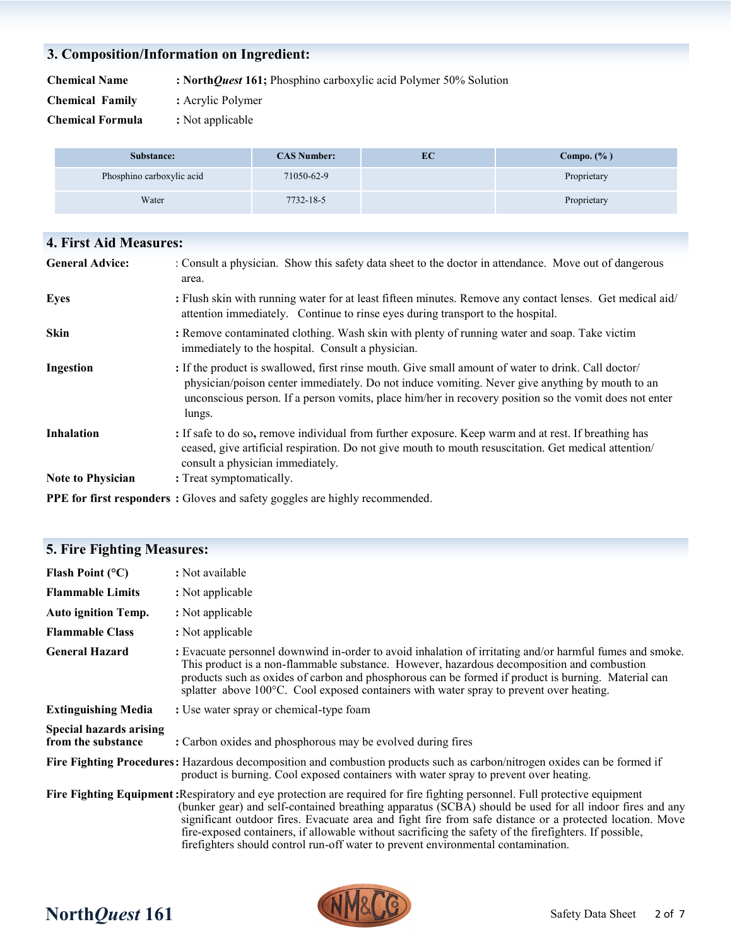#### **3. Composition/Information on Ingredient:**

**Chemical Name : North***Quest* **161;** Phosphino carboxylic acid Polymer 50% Solution

**Chemical Family :** Acrylic Polymer

**Chemical Formula :** Not applicable

| Substance:                | <b>CAS Number:</b> | EC | Compo. $(\% )$ |
|---------------------------|--------------------|----|----------------|
| Phosphino carboxylic acid | 71050-62-9         |    | Proprietary    |
| Water                     | 7732-18-5          |    | Proprietary    |

#### **4. First Aid Measures:**

| <b>General Advice:</b>   | : Consult a physician. Show this safety data sheet to the doctor in attendance. Move out of dangerous<br>area.                                                                                                                                                                                                             |
|--------------------------|----------------------------------------------------------------------------------------------------------------------------------------------------------------------------------------------------------------------------------------------------------------------------------------------------------------------------|
| <b>Eyes</b>              | : Flush skin with running water for at least fifteen minutes. Remove any contact lenses. Get medical aid/<br>attention immediately. Continue to rinse eyes during transport to the hospital.                                                                                                                               |
| <b>Skin</b>              | : Remove contaminated clothing. Wash skin with plenty of running water and soap. Take victim<br>immediately to the hospital. Consult a physician.                                                                                                                                                                          |
| Ingestion                | : If the product is swallowed, first rinse mouth. Give small amount of water to drink. Call doctor/<br>physician/poison center immediately. Do not induce vomiting. Never give anything by mouth to an<br>unconscious person. If a person vomits, place him/her in recovery position so the vomit does not enter<br>lungs. |
| <b>Inhalation</b>        | : If safe to do so, remove individual from further exposure. Keep warm and at rest. If breathing has<br>ceased, give artificial respiration. Do not give mouth to mouth resuscitation. Get medical attention/<br>consult a physician immediately.                                                                          |
| <b>Note to Physician</b> | : Treat symptomatically.                                                                                                                                                                                                                                                                                                   |
| $\blacksquare$           |                                                                                                                                                                                                                                                                                                                            |

#### **PPE for first responders :** Gloves and safety goggles are highly recommended.

# **5. Fire Fighting Measures: Flash Point (°C)** : Not available **Flammable Limits :** Not applicable **Auto ignition Temp. :** Not applicable **Flammable Class :** Not applicable **General Hazard :** Evacuate personnel downwind in-order to avoid inhalation of irritating and/or harmful fumes and smoke. This product is a non-flammable substance. However, hazardous decomposition and combustion products such as oxides of carbon and phosphorous can be formed if product is burning. Material can splatter above 100°C. Cool exposed containers with water spray to prevent over heating. **Extinguishing Media** : Use water spray or chemical-type foam **Special hazards arising from the substance : Carbon oxides and phosphorous may be evolved during fires Fire Fighting Procedures:** Hazardous decomposition and combustion products such as carbon/nitrogen oxides can be formed if product is burning. Cool exposed containers with water spray to prevent over heating. **Fire Fighting Equipment:**Respiratory and eye protection are required for fire fighting personnel. Full protective equipment (bunker gear) and self-contained breathing apparatus (SCBA) should be used for all indoor fires and any significant outdoor fires. Evacuate area and fight fire from safe distance or a protected location. Move fire-exposed containers, if allowable without sacrificing the safety of the firefighters. If possible, firefighters should control run-off water to prevent environmental contamination.

# **North***Quest* **161** Safety Data Sheet

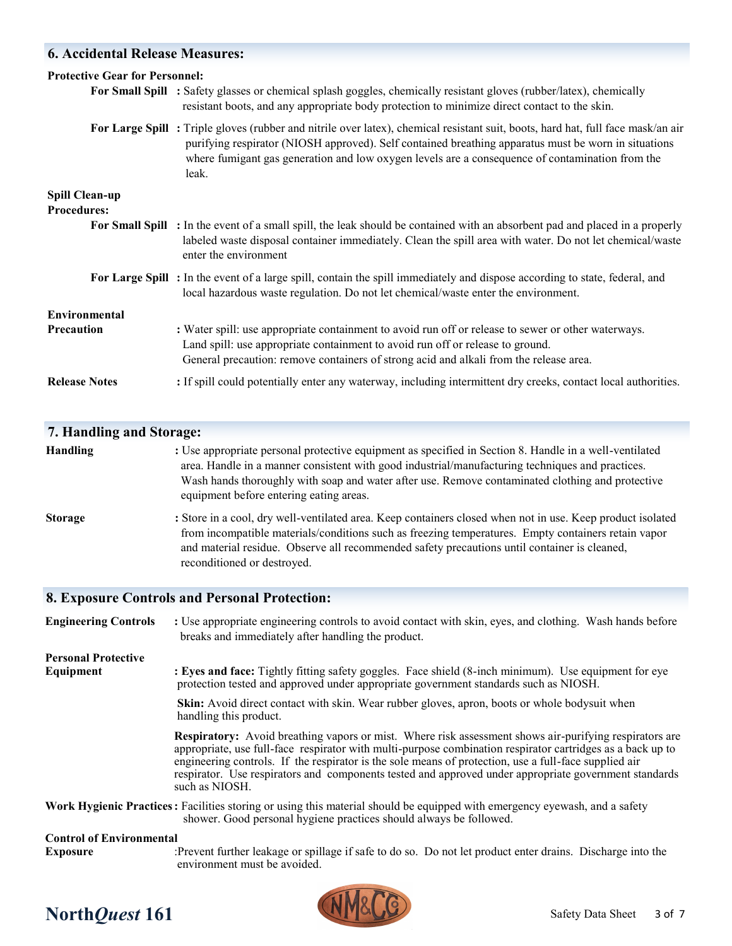# **6. Accidental Release Measures:**

| <b>Protective Gear for Personnel:</b> |                                                                                                                                                                                                                                                                                                                                                     |
|---------------------------------------|-----------------------------------------------------------------------------------------------------------------------------------------------------------------------------------------------------------------------------------------------------------------------------------------------------------------------------------------------------|
|                                       | For Small Spill : Safety glasses or chemical splash goggles, chemically resistant gloves (rubber/latex), chemically<br>resistant boots, and any appropriate body protection to minimize direct contact to the skin.                                                                                                                                 |
|                                       | For Large Spill: Triple gloves (rubber and nitrile over latex), chemical resistant suit, boots, hard hat, full face mask/an air<br>purifying respirator (NIOSH approved). Self contained breathing apparatus must be worn in situations<br>where fumigant gas generation and low oxygen levels are a consequence of contamination from the<br>leak. |
| <b>Spill Clean-up</b>                 |                                                                                                                                                                                                                                                                                                                                                     |
| <b>Procedures:</b>                    |                                                                                                                                                                                                                                                                                                                                                     |
|                                       | For Small Spill : In the event of a small spill, the leak should be contained with an absorbent pad and placed in a properly<br>labeled waste disposal container immediately. Clean the spill area with water. Do not let chemical/waste<br>enter the environment                                                                                   |
|                                       | For Large Spill: In the event of a large spill, contain the spill immediately and dispose according to state, federal, and<br>local hazardous waste regulation. Do not let chemical/waste enter the environment.                                                                                                                                    |
| Environmental                         |                                                                                                                                                                                                                                                                                                                                                     |
| <b>Precaution</b>                     | : Water spill: use appropriate containment to avoid run off or release to sewer or other waterways.<br>Land spill: use appropriate containment to avoid run off or release to ground.<br>General precaution: remove containers of strong acid and alkali from the release area.                                                                     |
| <b>Release Notes</b>                  | : If spill could potentially enter any waterway, including intermittent dry creeks, contact local authorities.                                                                                                                                                                                                                                      |

# **7. Handling and Storage:**

| <b>Handling</b> | : Use appropriate personal protective equipment as specified in Section 8. Handle in a well-ventilated<br>area. Handle in a manner consistent with good industrial/manufacturing techniques and practices.<br>Wash hands thoroughly with soap and water after use. Remove contaminated clothing and protective<br>equipment before entering eating areas. |
|-----------------|-----------------------------------------------------------------------------------------------------------------------------------------------------------------------------------------------------------------------------------------------------------------------------------------------------------------------------------------------------------|
| <b>Storage</b>  | : Store in a cool, dry well-ventilated area. Keep containers closed when not in use. Keep product isolated<br>$\mathcal{C}$ , and a finite the final contract of $\mathcal{C}$ , and $\mathcal{C}$                                                                                                                                                        |

 from incompatible materials/conditions such as freezing temperatures. Empty containers retain vapor and material residue. Observe all recommended safety precautions until container is cleaned, reconditioned or destroyed.

# **8. Exposure Controls and Personal Protection:**

| <b>Engineering Controls</b>     | : Use appropriate engineering controls to avoid contact with skin, eyes, and clothing. Wash hands before<br>breaks and immediately after handling the product.                                                                                                                                                                                                                                                                                                  |
|---------------------------------|-----------------------------------------------------------------------------------------------------------------------------------------------------------------------------------------------------------------------------------------------------------------------------------------------------------------------------------------------------------------------------------------------------------------------------------------------------------------|
| <b>Personal Protective</b>      |                                                                                                                                                                                                                                                                                                                                                                                                                                                                 |
| Equipment                       | : Eyes and face: Tightly fitting safety goggles. Face shield (8-inch minimum). Use equipment for eye<br>protection tested and approved under appropriate government standards such as NIOSH.                                                                                                                                                                                                                                                                    |
|                                 | <b>Skin:</b> Avoid direct contact with skin. Wear rubber gloves, apron, boots or whole bodysuit when<br>handling this product.                                                                                                                                                                                                                                                                                                                                  |
|                                 | <b>Respiratory:</b> Avoid breathing vapors or mist. Where risk assessment shows air-purifying respirators are<br>appropriate, use full-face respirator with multi-purpose combination respirator cartridges as a back up to<br>engineering controls. If the respirator is the sole means of protection, use a full-face supplied air<br>respirator. Use respirators and components tested and approved under appropriate government standards<br>such as NIOSH. |
|                                 | Work Hygienic Practices: Facilities storing or using this material should be equipped with emergency eyewash, and a safety<br>shower. Good personal hygiene practices should always be followed.                                                                                                                                                                                                                                                                |
| <b>Control of Environmental</b> |                                                                                                                                                                                                                                                                                                                                                                                                                                                                 |
| <b>Exposure</b>                 | :Prevent further leakage or spillage if safe to do so. Do not let product enter drains. Discharge into the                                                                                                                                                                                                                                                                                                                                                      |



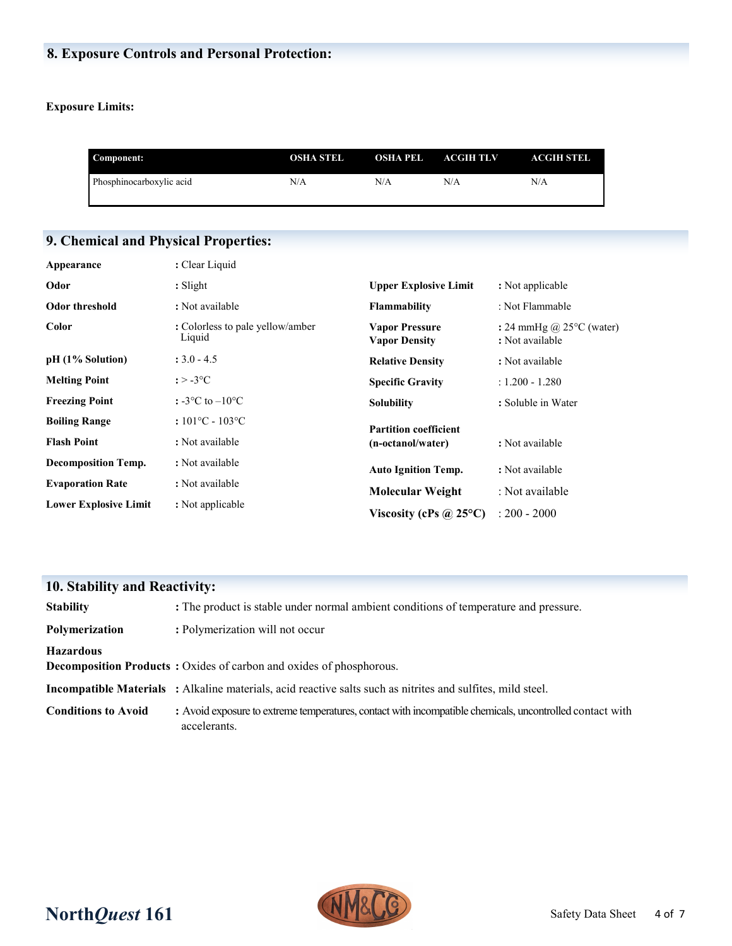# **8. Exposure Controls and Personal Protection:**

# **Exposure Limits:**

| Component:               | OSHA STEL | OSHA PEL | <b>ACGIH TLV</b> | <b>ACGIH STEL</b> |
|--------------------------|-----------|----------|------------------|-------------------|
| Phosphinocarboxylic acid | N/A       | N/A      | N/A              | N/A               |

# **9. Chemical and Physical Properties:**

| Appearance                   | : Clear Liquid                             |                                               |                                                       |
|------------------------------|--------------------------------------------|-----------------------------------------------|-------------------------------------------------------|
| Odor                         | $:$ Slight                                 | <b>Upper Explosive Limit</b>                  | : Not applicable                                      |
| Odor threshold               | : Not available                            | <b>Flammability</b>                           | : Not Flammable                                       |
| Color                        | : Colorless to pale yellow/amber<br>Liquid | <b>Vapor Pressure</b><br><b>Vapor Density</b> | : 24 mmHg @ $25^{\circ}$ C (water)<br>: Not available |
| pH (1% Solution)             | $: 3.0 - 4.5$                              | <b>Relative Density</b>                       | : Not available                                       |
| <b>Melting Point</b>         | $: > -3$ °C                                | <b>Specific Gravity</b>                       | $: 1.200 - 1.280$                                     |
| <b>Freezing Point</b>        | : $-3$ °C to $-10$ °C                      | <b>Solubility</b>                             | : Soluble in Water                                    |
| <b>Boiling Range</b>         | $:101^{\circ}C - 103^{\circ}C$             | <b>Partition coefficient</b>                  |                                                       |
| <b>Flash Point</b>           | : Not available                            | (n-octanol/water)                             | : Not available                                       |
| <b>Decomposition Temp.</b>   | : Not available                            | <b>Auto Ignition Temp.</b>                    | : Not available                                       |
| <b>Evaporation Rate</b>      | : Not available                            | <b>Molecular Weight</b>                       | : Not available                                       |
| <b>Lower Explosive Limit</b> | : Not applicable                           | Viscosity (cPs $\omega$ 25°C)                 | $: 200 - 2000$                                        |

| <b>10. Stability and Reactivity:</b> |                                                                                                                          |
|--------------------------------------|--------------------------------------------------------------------------------------------------------------------------|
| <b>Stability</b>                     | : The product is stable under normal ambient conditions of temperature and pressure.                                     |
| Polymerization                       | : Polymerization will not occur                                                                                          |
| <b>Hazardous</b>                     |                                                                                                                          |
|                                      | <b>Decomposition Products:</b> Oxides of carbon and oxides of phosphorous.                                               |
|                                      | <b>Incompatible Materials</b> : Alkaline materials, acid reactive salts such as nitrites and sulfites, mild steel.       |
| <b>Conditions to Avoid</b>           | : Avoid exposure to extreme temperatures, contact with incompatible chemicals, uncontrolled contact with<br>accelerants. |

# **North***Quest* **161** Safety Data Sheet

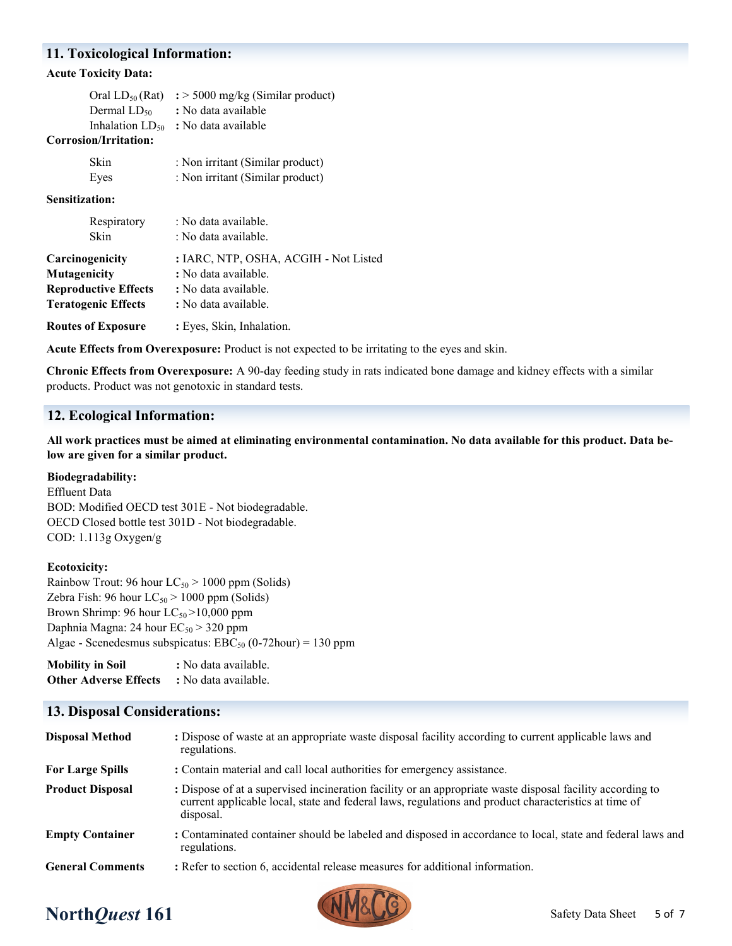### **11. Toxicological Information:**

#### **Acute Toxicity Data:**

| Oral $LD_{50}$ (Rat)        | $\div$ 5000 mg/kg (Similar product)      |
|-----------------------------|------------------------------------------|
| Dermal $LD_{50}$            | : No data available                      |
| Corrosion/Irritation:       | Inhalation $LD_{50}$ : No data available |
| Skin                        | : Non irritant (Similar product)         |
| Eyes                        | : Non irritant (Similar product)         |
| Sensitization:              |                                          |
| Respiratory                 | : No data available.                     |
| Skin                        | : No data available.                     |
| Carcinogenicity             | : IARC, NTP, OSHA, ACGIH - Not Listed    |
| Mutagenicity                | : No data available.                     |
| <b>Reproductive Effects</b> | : No data available.                     |
| <b>Teratogenic Effects</b>  | : No data available.                     |
| <b>Routes of Exposure</b>   | : Eyes, Skin, Inhalation.                |
|                             |                                          |

**Acute Effects from Overexposure:** Product is not expected to be irritating to the eyes and skin.

**Chronic Effects from Overexposure:** A 90-day feeding study in rats indicated bone damage and kidney effects with a similar products. Product was not genotoxic in standard tests.

## **12. Ecological Information:**

**All work practices must be aimed at eliminating environmental contamination. No data available for this product. Data below are given for a similar product.**

#### **Biodegradability:**

Effluent Data BOD: Modified OECD test 301E - Not biodegradable. OECD Closed bottle test 301D - Not biodegradable. COD: 1.113g Oxygen/g

#### **Ecotoxicity:**

Rainbow Trout: 96 hour  $LC_{50}$  > 1000 ppm (Solids) Zebra Fish: 96 hour  $LC_{50}$  > 1000 ppm (Solids) Brown Shrimp: 96 hour  $LC_{50}$  >10,000 ppm Daphnia Magna: 24 hour  $EC_{50}$  > 320 ppm Algae - Scenedesmus subspicatus:  $EBC_{50}$  (0-72hour) = 130 ppm

**Mobility in Soil :** No data available. **Other Adverse Effects :** No data available.

## **13. Disposal Considerations:**

| <b>Disposal Method</b>  | : Dispose of waste at an appropriate waste disposal facility according to current applicable laws and<br>regulations.                                                                                                          |
|-------------------------|--------------------------------------------------------------------------------------------------------------------------------------------------------------------------------------------------------------------------------|
| <b>For Large Spills</b> | : Contain material and call local authorities for emergency assistance.                                                                                                                                                        |
| <b>Product Disposal</b> | : Dispose of at a supervised incineration facility or an appropriate waste disposal facility according to<br>current applicable local, state and federal laws, regulations and product characteristics at time of<br>disposal. |
| <b>Empty Container</b>  | : Contaminated container should be labeled and disposed in accordance to local, state and federal laws and<br>regulations.                                                                                                     |
| <b>General Comments</b> | : Refer to section 6, accidental release measures for additional information.                                                                                                                                                  |



# **North***Quest* **161** Safety Data Sheet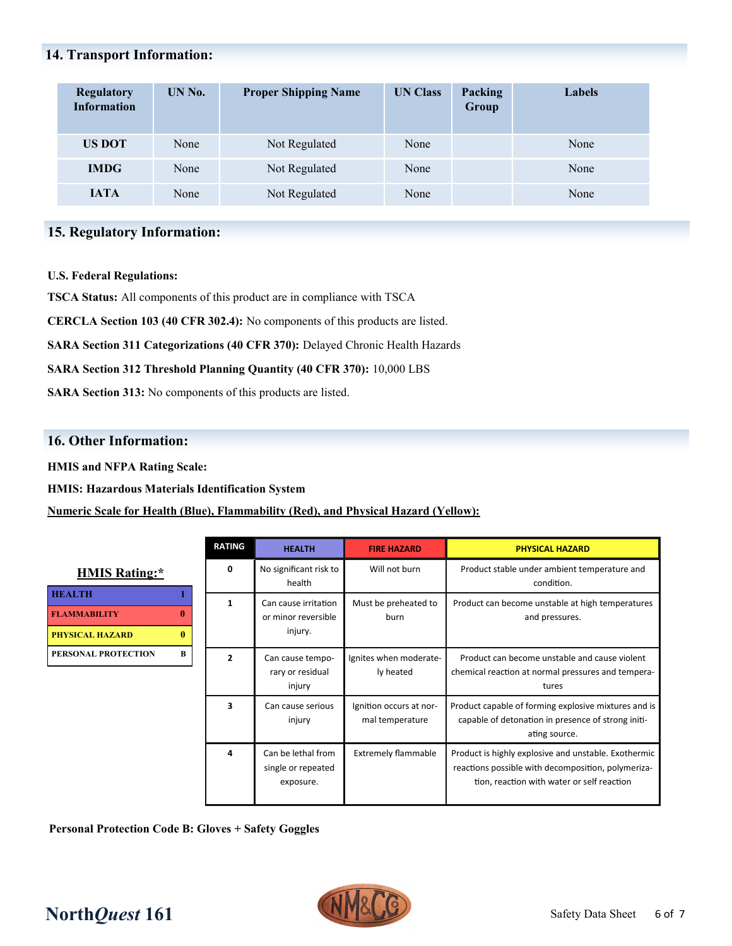# **14. Transport Information:**

| <b>Regulatory</b><br><b>Information</b> | UN No. | <b>Proper Shipping Name</b> | <b>UN Class</b> | Packing<br>Group | Labels |
|-----------------------------------------|--------|-----------------------------|-----------------|------------------|--------|
| <b>US DOT</b>                           | None   | Not Regulated               | None            |                  | None   |
| <b>IMDG</b>                             | None   | Not Regulated               | None            |                  | None   |
| <b>JATA</b>                             | None   | Not Regulated               | None            |                  | None   |

# **15. Regulatory Information:**

#### **U.S. Federal Regulations:**

**TSCA Status:** All components of this product are in compliance with TSCA

**CERCLA Section 103 (40 CFR 302.4):** No components of this products are listed.

**SARA Section 311 Categorizations (40 CFR 370):** Delayed Chronic Health Hazards

**SARA Section 312 Threshold Planning Quantity (40 CFR 370):** 10,000 LBS

**SARA Section 313:** No components of this products are listed.

### **16. Other Information:**

**HMIS and NFPA Rating Scale:**

**HMIS: Hazardous Materials Identification System**

#### **Numeric Scale for Health (Blue), Flammability (Red), and Physical Hazard (Yellow):**

| <b>HMIS Rating:*</b>       |   |  |
|----------------------------|---|--|
| <b>HEALTH</b>              |   |  |
| <b>FLAMMARILITY</b>        |   |  |
| <b>PHYSICAL HAZARD</b>     |   |  |
| <b>PERSONAL PROTECTION</b> | в |  |

| <b>RATING</b>  | <b>HEALTH</b>                                          | <b>FIRE HAZARD</b>                         | <b>PHYSICAL HAZARD</b>                                                                                                                                   |
|----------------|--------------------------------------------------------|--------------------------------------------|----------------------------------------------------------------------------------------------------------------------------------------------------------|
| $\Omega$       | No significant risk to<br>health                       | Will not burn                              | Product stable under ambient temperature and<br>condition.                                                                                               |
| 1              | Can cause irritation<br>or minor reversible<br>injury. | Must be preheated to<br>burn               | Product can become unstable at high temperatures<br>and pressures.                                                                                       |
| $\overline{2}$ | Can cause tempo-<br>rary or residual<br>injury         | Ignites when moderate-<br>ly heated        | Product can become unstable and cause violent<br>chemical reaction at normal pressures and tempera-<br>tures                                             |
| 3              | Can cause serious<br>injury                            | Ignition occurs at nor-<br>mal temperature | Product capable of forming explosive mixtures and is<br>capable of detonation in presence of strong initi-<br>ating source.                              |
| 4              | Can be lethal from<br>single or repeated<br>exposure.  | <b>Extremely flammable</b>                 | Product is highly explosive and unstable. Exothermic<br>reactions possible with decomposition, polymeriza-<br>tion, reaction with water or self reaction |

**Personal Protection Code B: Gloves + Safety Goggles**